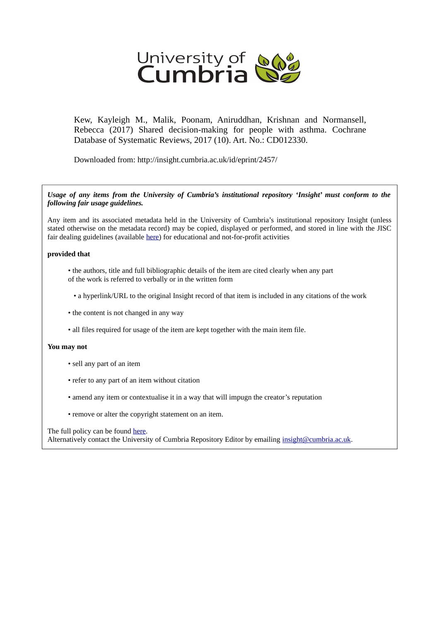

Kew, Kayleigh M., Malik, Poonam, Aniruddhan, Krishnan and Normansell, Rebecca (2017) Shared decision-making for people with asthma. Cochrane Database of Systematic Reviews, 2017 (10). Art. No.: CD012330.

Downloaded from: http://insight.cumbria.ac.uk/id/eprint/2457/

*Usage of any items from the University of Cumbria's institutional repository 'Insight' must conform to the following fair usage guidelines.*

Any item and its associated metadata held in the University of Cumbria's institutional repository Insight (unless stated otherwise on the metadata record) may be copied, displayed or performed, and stored in line with the JISC fair dealing guidelines (available [here\)](http://www.ukoln.ac.uk/services/elib/papers/pa/fair/) for educational and not-for-profit activities

# **provided that**

- the authors, title and full bibliographic details of the item are cited clearly when any part of the work is referred to verbally or in the written form
	- a hyperlink/URL to the original Insight record of that item is included in any citations of the work
- the content is not changed in any way
- all files required for usage of the item are kept together with the main item file.

# **You may not**

- sell any part of an item
- refer to any part of an item without citation
- amend any item or contextualise it in a way that will impugn the creator's reputation
- remove or alter the copyright statement on an item.

# The full policy can be found [here.](http://insight.cumbria.ac.uk/legal.html#section5)

Alternatively contact the University of Cumbria Repository Editor by emailing [insight@cumbria.ac.uk.](mailto:insight@cumbria.ac.uk)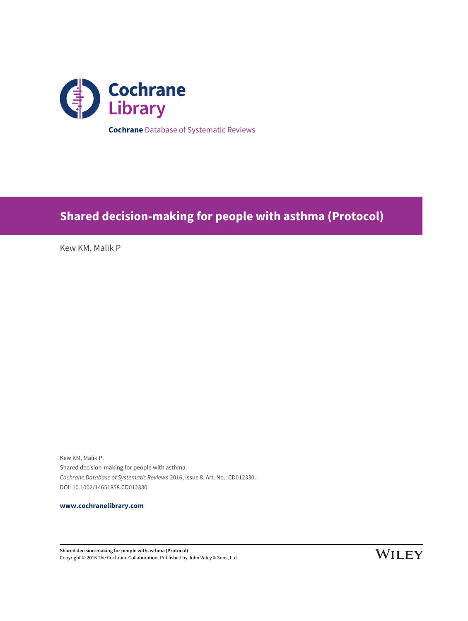

# **Shared decision-making for people with asthma (Protocol)**

Kew KM, Malik P

Kew KM, Malik P. Shared decision-making for people with asthma. Cochrane Database of Systematic Reviews 2016, Issue 8. Art. No.: CD012330. DOI: 10.1002/14651858.CD012330.

**[www.cochranelibrary.com](http://www.cochranelibrary.com)**

**Shared decision-making for people with asthma (Protocol)** Copyright © 2016 The Cochrane Collaboration. Published by John Wiley & Sons, Ltd.

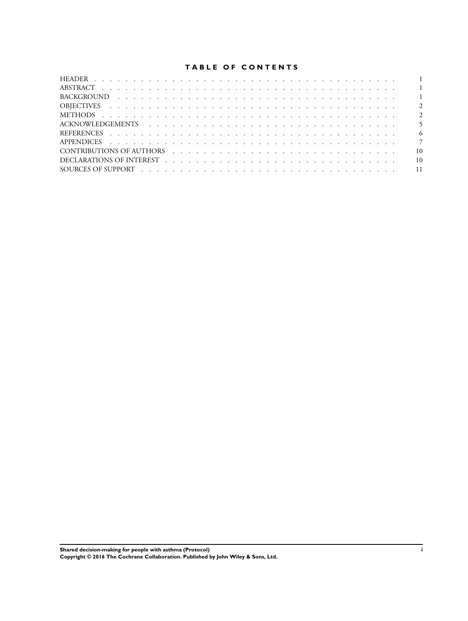# **TABLE OF CONTENTS**

| - 6             |
|-----------------|
|                 |
| $\overline{10}$ |
|                 |
|                 |
|                 |

**Shared decision-making for people with asthma (Protocol) i Copyright © 2016 The Cochrane Collaboration. Published by John Wiley & Sons, Ltd.**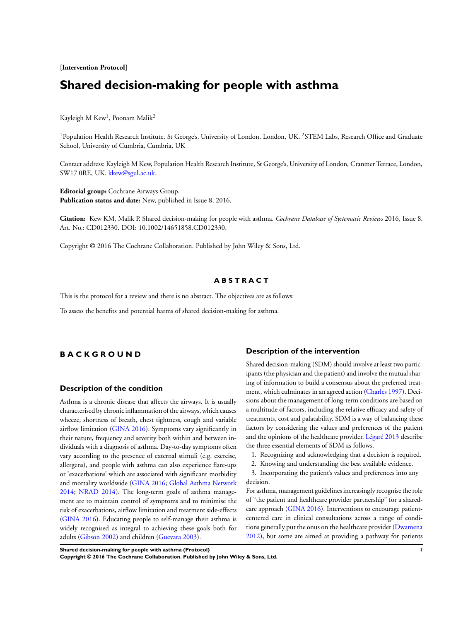<span id="page-3-0"></span>**[Intervention Protocol]**

# **Shared decision-making for people with asthma**

Kayleigh M Kew $^{\rm l}$ , Poonam Malik $^{\rm 2}$ 

<sup>1</sup> Population Health Research Institute, St George's, University of London, London, UK. <sup>2</sup>STEM Labs, Research Office and Graduate School, University of Cumbria, Cumbria, UK

Contact address: Kayleigh M Kew, Population Health Research Institute, St George's, University of London, Cranmer Terrace, London, SW17 0RE, UK. [kkew@sgul.ac.uk](mailto:kkew@sgul.ac.uk).

**Editorial group:** Cochrane Airways Group. **Publication status and date:** New, published in Issue 8, 2016.

**Citation:** Kew KM, Malik P. Shared decision-making for people with asthma. *Cochrane Database of Systematic Reviews* 2016, Issue 8. Art. No.: CD012330. DOI: 10.1002/14651858.CD012330.

Copyright © 2016 The Cochrane Collaboration. Published by John Wiley & Sons, Ltd.

# **A B S T R A C T**

This is the protocol for a review and there is no abstract. The objectives are as follows:

To assess the benefits and potential harms of shared decision-making for asthma.

# **B A C K G R O U N D**

#### **Description of the intervention**

### **Description of the condition**

Asthma is a chronic disease that affects the airways. It is usually characterised by chronic inflammation of the airways, which causes wheeze, shortness of breath, chest tightness, cough and variable airflow limitation ([GINA 2016\)](#page-8-0). Symptoms vary significantly in their nature, frequency and severity both within and between individuals with a diagnosis of asthma. Day-to-day symptoms often vary according to the presence of external stimuli (e.g. exercise, allergens), and people with asthma can also experience flare-ups or 'exacerbations' which are associated with significant morbidity and mortality worldwide ([GINA 2016;](#page-8-0) [Global Asthma Network](#page-8-0) [2014](#page-8-0); [NRAD 2014](#page-8-0)). The long-term goals of asthma management are to maintain control of symptoms and to minimise the risk of exacerbations, airflow limitation and treatment side-effects [\(GINA 2016\)](#page-8-0). Educating people to self-manage their asthma is widely recognised as integral to achieving these goals both for adults ([Gibson 2002\)](#page-8-0) and children ([Guevara 2003\)](#page-8-0).

Shared decision-making (SDM) should involve at least two participants (the physician and the patient) and involve the mutual sharing of information to build a consensus about the preferred treatment, which culminates in an agreed action [\(Charles 1997](#page-8-0)). Decisions about the management of long-term conditions are based on a multitude of factors, including the relative efficacy and safety of treatments, cost and palatability. SDM is a way of balancing these factors by considering the values and preferences of the patient and the opinions of the healthcare provider. [Légaré 2013](#page-8-0) describe the three essential elements of SDM as follows.

- 1. Recognizing and acknowledging that a decision is required.
- 2. Knowing and understanding the best available evidence.

3. Incorporating the patient's values and preferences into any decision.

For asthma, management guidelines increasingly recognise the role of "the patient and healthcare provider partnership" for a sharedcare approach [\(GINA 2016\)](#page-8-0). Interventions to encourage patientcentered care in clinical consultations across a range of conditions generally put the onus on the healthcare provider ([Dwamena](#page-8-0) [2012](#page-8-0)), but some are aimed at providing a pathway for patients

**Shared decision-making for people with asthma (Protocol) 1 Copyright © 2016 The Cochrane Collaboration. Published by John Wiley & Sons, Ltd.**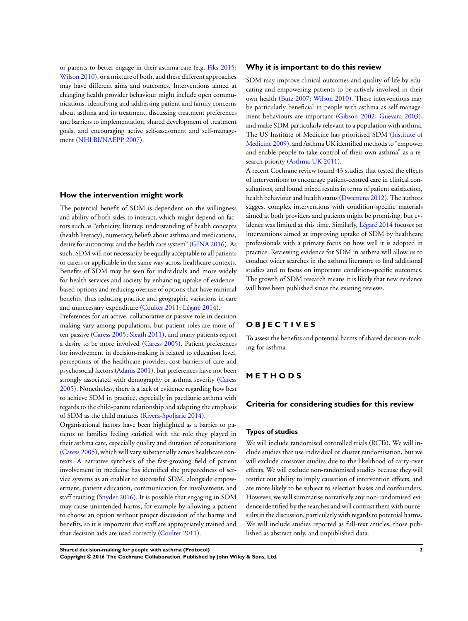or parents to better engage in their asthma care (e.g. [Fiks 2015;](#page-8-0) [Wilson 2010\)](#page-8-0), or a mixture of both, and these different approaches may have different aims and outcomes. Interventions aimed at changing health provider behaviour might include open communications, identifying and addressing patient and family concerns about asthma and its treatment, discussing treatment preferences and barriers to implementation, shared development of treatment goals, and encouraging active self-assessment and self-management [\(NHLBI/NAEPP 2007](#page-8-0)).

### **How the intervention might work**

The potential benefit of SDM is dependent on the willingness and ability of both sides to interact, which might depend on factors such as "ethnicity, literacy, understanding of health concepts (health literacy), numeracy, beliefs about asthma and medications, desire for autonomy, and the health care system" ([GINA 2016\)](#page-8-0). As such, SDM will not necessarily be equally acceptable to all patients or carers or applicable in the same way across healthcare contexts. Benefits of SDM may be seen for individuals and more widely for health services and society by enhancing uptake of evidencebased options and reducing overuse of options that have minimal benefits, thus reducing practice and geographic variations in care and unnecessary expenditure [\(Coulter 2011](#page-8-0); [Légaré 2014\)](#page-8-0).

Preferences for an active, collaborative or passive role in decision making vary among populations, but patient roles are more often passive [\(Caress 2005;](#page-8-0) [Sleath 2011](#page-8-0)), and many patients report a desire to be more involved ([Caress 2005](#page-8-0)). Patient preferences for involvement in decision-making is related to education level, perceptions of the healthcare provider, cost barriers of care and psychosocial factors ([Adams 2001](#page-8-0)), but preferences have not been strongly associated with demography or asthma severity ([Caress](#page-8-0) [2005](#page-8-0)). Nonetheless, there is a lack of evidence regarding how best to achieve SDM in practice, especially in paediatric asthma with regards to the child-parent relationship and adapting the emphasis of SDM as the child matures ([Rivera-Spoljaric 2014\)](#page-8-0).

Organisational factors have been highlighted as a barrier to patients or families feeling satisfied with the role they played in their asthma care, especially quality and duration of consultations [\(Caress 2005](#page-8-0)), which will vary substantially across healthcare contexts. A narrative synthesis of the fast-growing field of patient involvement in medicine has identified the preparedness of service systems as an enabler to successful SDM, alongside empowerment, patient education, communication for involvement, and staff training ([Snyder 2016](#page-8-0)). It is possible that engaging in SDM may cause unintended harms, for example by allowing a patient to choose an option without proper discussion of the harms and benefits, so it is important that staff are appropriately trained and that decision aids are used correctly ([Coulter 2011\)](#page-8-0).

### **Why it is important to do this review**

SDM may improve clinical outcomes and quality of life by educating and empowering patients to be actively involved in their own health [\(Butz 2007](#page-8-0); [Wilson 2010](#page-8-0)). These interventions may be particularly beneficial in people with asthma as self-management behaviours are important [\(Gibson 2002](#page-8-0); [Guevara 2003](#page-8-0)), and make SDM particularly relevant to a population with asthma. The US Institute of Medicine has prioritised SDM [\(Institute of](#page-8-0) [Medicine 2009](#page-8-0)), and Asthma UK identified methods to "empower and enable people to take control of their own asthma" as a re-search priority [\(Asthma UK 2011\)](#page-8-0).

A recent Cochrane review found 43 studies that tested the effects of interventions to encourage patient-centred care in clinical consultations, and found mixed results in terms of patient satisfaction, health behaviour and health status [\(Dwamena 2012\)](#page-8-0). The authors suggest complex interventions with condition-specific materials aimed at both providers and patients might be promising, but evidence was limited at this time. Similarly, [Légaré 2014](#page-8-0) focuses on interventions aimed at improving uptake of SDM by healthcare professionals with a primary focus on how well it is adopted in practice. Reviewing evidence for SDM in asthma will allow us to conduct wider searches in the asthma literature to find additional studies and to focus on important condition-specific outcomes. The growth of SDM research means it is likely that new evidence will have been published since the existing reviews.

# **O B J E C T I V E S**

To assess the benefits and potential harms of shared decision-making for asthma.

# **M E T H O D S**

# **Criteria for considering studies for this review**

#### **Types of studies**

We will include randomised controlled trials (RCTs). We will include studies that use individual or cluster randomisation, but we will exclude crossover studies due to the likelihood of carry-over effects. We will exclude non-randomised studies because they will restrict our ability to imply causation of intervention effects, and are more likely to be subject to selection biases and confounders. However, we will summarise narratively any non-randomised evidence identified by the searches and will contrast them with our results in the discussion, particularly with regards to potential harms. We will include studies reported as full-text articles, those published as abstract only, and unpublished data.

**Shared decision-making for people with asthma (Protocol) 2 Copyright © 2016 The Cochrane Collaboration. Published by John Wiley & Sons, Ltd.**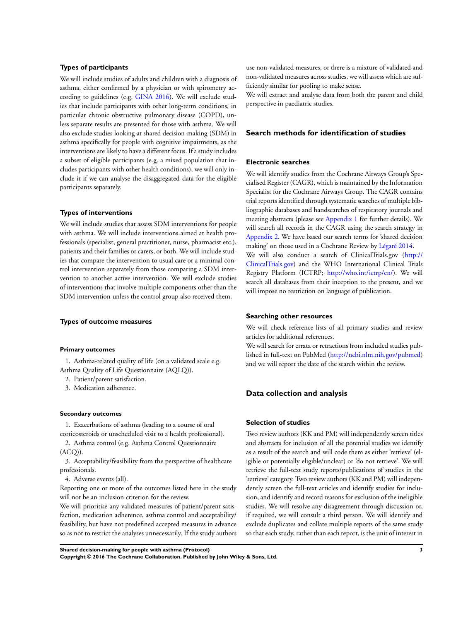#### **Types of participants**

We will include studies of adults and children with a diagnosis of asthma, either confirmed by a physician or with spirometry according to guidelines (e.g. [GINA 2016\)](#page-8-0). We will exclude studies that include participants with other long-term conditions, in particular chronic obstructive pulmonary disease (COPD), unless separate results are presented for those with asthma. We will also exclude studies looking at shared decision-making (SDM) in asthma specifically for people with cognitive impairments, as the interventions are likely to have a different focus. If a study includes a subset of eligible participants (e.g. a mixed population that includes participants with other health conditions), we will only include it if we can analyse the disaggregated data for the eligible participants separately.

#### **Types of interventions**

We will include studies that assess SDM interventions for people with asthma. We will include interventions aimed at health professionals (specialist, general practitioner, nurse, pharmacist etc.), patients and their families or carers, or both. We will include studies that compare the intervention to usual care or a minimal control intervention separately from those comparing a SDM intervention to another active intervention. We will exclude studies of interventions that involve multiple components other than the SDM intervention unless the control group also received them.

#### **Types of outcome measures**

#### **Primary outcomes**

1. Asthma-related quality of life (on a validated scale e.g. Asthma Quality of Life Questionnaire (AQLQ)).

- 2. Patient/parent satisfaction.
- 3. Medication adherence.

#### **Secondary outcomes**

1. Exacerbations of asthma (leading to a course of oral corticosteroids or unscheduled visit to a health professional).

2. Asthma control (e.g. Asthma Control Questionnaire (ACQ)).

3. Acceptability/feasibility from the perspective of healthcare professionals.

4. Adverse events (all).

Reporting one or more of the outcomes listed here in the study will not be an inclusion criterion for the review.

We will prioritise any validated measures of patient/parent satisfaction, medication adherence, asthma control and acceptability/ feasibility, but have not predefined accepted measures in advance so as not to restrict the analyses unnecessarily. If the study authors

use non-validated measures, or there is a mixture of validated and non-validated measures across studies, we will assess which are sufficiently similar for pooling to make sense.

We will extract and analyse data from both the parent and child perspective in paediatric studies.

# **Search methods for identification of studies**

#### **Electronic searches**

We will identify studies from the Cochrane Airways Group's Specialised Register (CAGR), which is maintained by the Information Specialist for the Cochrane Airways Group. The CAGR contains trial reports identified through systematic searches of multiple bibliographic databases and handsearches of respiratory journals and meeting abstracts (please see [Appendix 1](#page-9-0) for further details). We will search all records in the CAGR using the search strategy in [Appendix 2.](#page-12-0) We have based our search terms for 'shared decision making' on those used in a Cochrane Review by [Légaré 2014](#page-8-0). We will also conduct a search of ClinicalTrials.gov ([http://](http://ClinicalTrials.gov) [ClinicalTrials.gov\)](http://ClinicalTrials.gov) and the WHO International Clinical Trials Registry Platform (ICTRP; <http://who.int/ictrp/en/>). We will search all databases from their inception to the present, and we will impose no restriction on language of publication.

#### **Searching other resources**

We will check reference lists of all primary studies and review articles for additional references.

We will search for errata or retractions from included studies published in full-text on PubMed [\(http://ncbi.nlm.nih.gov/pubmed](http://ncbi.nlm.nih.gov/pubmed)) and we will report the date of the search within the review.

### **Data collection and analysis**

#### **Selection of studies**

Two review authors (KK and PM) will independently screen titles and abstracts for inclusion of all the potential studies we identify as a result of the search and will code them as either 'retrieve' (eligible or potentially eligible/unclear) or 'do not retrieve'. We will retrieve the full-text study reports/publications of studies in the 'retrieve' category. Two review authors (KK and PM) will independently screen the full-text articles and identify studies for inclusion, and identify and record reasons for exclusion of the ineligible studies. We will resolve any disagreement through discussion or, if required, we will consult a third person. We will identify and exclude duplicates and collate multiple reports of the same study so that each study, rather than each report, is the unit of interest in

**Shared decision-making for people with asthma (Protocol) 3 Copyright © 2016 The Cochrane Collaboration. Published by John Wiley & Sons, Ltd.**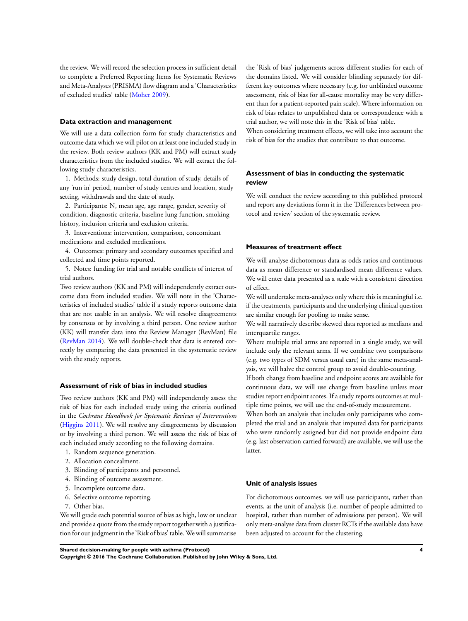the review. We will record the selection process in sufficient detail to complete a Preferred Reporting Items for Systematic Reviews and Meta-Analyses (PRISMA) flow diagram and a 'Characteristics of excluded studies' table ([Moher 2009](#page-8-0)).

#### **Data extraction and management**

We will use a data collection form for study characteristics and outcome data which we will pilot on at least one included study in the review. Both review authors (KK and PM) will extract study characteristics from the included studies. We will extract the following study characteristics.

1. Methods: study design, total duration of study, details of any 'run in' period, number of study centres and location, study setting, withdrawals and the date of study.

2. Participants: N, mean age, age range, gender, severity of condition, diagnostic criteria, baseline lung function, smoking history, inclusion criteria and exclusion criteria.

3. Interventions: intervention, comparison, concomitant medications and excluded medications.

4. Outcomes: primary and secondary outcomes specified and collected and time points reported.

5. Notes: funding for trial and notable conflicts of interest of trial authors.

Two review authors (KK and PM) will independently extract outcome data from included studies. We will note in the 'Characteristics of included studies' table if a study reports outcome data that are not usable in an analysis. We will resolve disagreements by consensus or by involving a third person. One review author (KK) will transfer data into the Review Manager (RevMan) file [\(RevMan 2014](#page-8-0)). We will double-check that data is entered correctly by comparing the data presented in the systematic review with the study reports.

#### **Assessment of risk of bias in included studies**

Two review authors (KK and PM) will independently assess the risk of bias for each included study using the criteria outlined in the *Cochrane Handbook for Systematic Reviews of Interventions* [\(Higgins 2011\)](#page-8-0). We will resolve any disagreements by discussion or by involving a third person. We will assess the risk of bias of each included study according to the following domains.

- 1. Random sequence generation.
- 2. Allocation concealment.
- 3. Blinding of participants and personnel.
- 4. Blinding of outcome assessment.
- 5. Incomplete outcome data.
- 6. Selective outcome reporting.
- 7. Other bias.

We will grade each potential source of bias as high, low or unclear and provide a quote from the study report together with a justification for our judgment in the 'Risk of bias' table. We will summarise the 'Risk of bias' judgements across different studies for each of the domains listed. We will consider blinding separately for different key outcomes where necessary (e.g. for unblinded outcome assessment, risk of bias for all-cause mortality may be very different than for a patient-reported pain scale). Where information on risk of bias relates to unpublished data or correspondence with a trial author, we will note this in the 'Risk of bias' table. When considering treatment effects, we will take into account the

risk of bias for the studies that contribute to that outcome.

### **Assessment of bias in conducting the systematic review**

We will conduct the review according to this published protocol and report any deviations form it in the 'Differences between protocol and review' section of the systematic review.

# **Measures of treatment effect**

We will analyse dichotomous data as odds ratios and continuous data as mean difference or standardised mean difference values. We will enter data presented as a scale with a consistent direction of effect.

We will undertake meta-analyses only where this is meaningful i.e. if the treatments, participants and the underlying clinical question are similar enough for pooling to make sense.

We will narratively describe skewed data reported as medians and interquartile ranges.

Where multiple trial arms are reported in a single study, we will include only the relevant arms. If we combine two comparisons (e.g. two types of SDM versus usual care) in the same meta-analysis, we will halve the control group to avoid double-counting.

If both change from baseline and endpoint scores are available for continuous data, we will use change from baseline unless most studies report endpoint scores. If a study reports outcomes at multiple time points, we will use the end-of-study measurement.

When both an analysis that includes only participants who completed the trial and an analysis that imputed data for participants who were randomly assigned but did not provide endpoint data (e.g. last observation carried forward) are available, we will use the latter.

#### **Unit of analysis issues**

For dichotomous outcomes, we will use participants, rather than events, as the unit of analysis (i.e. number of people admitted to hospital, rather than number of admissions per person). We will only meta-analyse data from cluster RCTs if the available data have been adjusted to account for the clustering.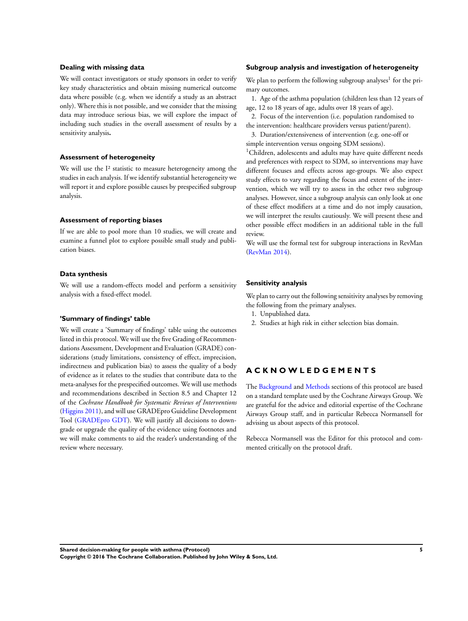#### **Dealing with missing data**

We will contact investigators or study sponsors in order to verify key study characteristics and obtain missing numerical outcome data where possible (e.g. when we identify a study as an abstract only). Where this is not possible, and we consider that the missing data may introduce serious bias, we will explore the impact of including such studies in the overall assessment of results by a sensitivity analysis**.**

### **Assessment of heterogeneity**

We will use the I<sup>2</sup> statistic to measure heterogeneity among the studies in each analysis. If we identify substantial heterogeneity we will report it and explore possible causes by prespecified subgroup analysis.

#### **Assessment of reporting biases**

If we are able to pool more than 10 studies, we will create and examine a funnel plot to explore possible small study and publication biases.

### **Data synthesis**

We will use a random-effects model and perform a sensitivity analysis with a fixed-effect model.

#### **'Summary of findings' table**

We will create a 'Summary of findings' table using the outcomes listed in this protocol. We will use the five Grading of Recommendations Assessment, Development and Evaluation (GRADE) considerations (study limitations, consistency of effect, imprecision, indirectness and publication bias) to assess the quality of a body of evidence as it relates to the studies that contribute data to the meta-analyses for the prespecified outcomes. We will use methods and recommendations described in Section 8.5 and Chapter 12 of the *Cochrane Handbook for Systematic Reviews of Interventions* [\(Higgins 2011](#page-8-0)), and will use GRADEpro Guideline Development Tool ([GRADEpro GDT](#page-8-0)). We will justify all decisions to downgrade or upgrade the quality of the evidence using footnotes and we will make comments to aid the reader's understanding of the review where necessary.

#### **Subgroup analysis and investigation of heterogeneity**

We plan to perform the following subgroup analyses<sup>1</sup> for the primary outcomes.

1. Age of the asthma population (children less than 12 years of age, 12 to 18 years of age, adults over 18 years of age).

2. Focus of the intervention (i.e. population randomised to the intervention: healthcare providers versus patient/parent).

3. Duration/extensiveness of intervention (e.g. one-off or simple intervention versus ongoing SDM sessions).

<sup>1</sup>Children, adolescents and adults may have quite different needs and preferences with respect to SDM, so interventions may have different focuses and effects across age-groups. We also expect study effects to vary regarding the focus and extent of the intervention, which we will try to assess in the other two subgroup analyses. However, since a subgroup analysis can only look at one of these effect modifiers at a time and do not imply causation, we will interpret the results cautiously. We will present these and other possible effect modifiers in an additional table in the full review.

We will use the formal test for subgroup interactions in RevMan [\(RevMan 2014\)](#page-8-0).

#### **Sensitivity analysis**

We plan to carry out the following sensitivity analyses by removing the following from the primary analyses.

- 1. Unpublished data.
- 2. Studies at high risk in either selection bias domain.

# **A C K N O W L E D G E M E N T S**

The [Background](#page-3-0) and [Methods](#page-3-0) sections of this protocol are based on a standard template used by the Cochrane Airways Group. We are grateful for the advice and editorial expertise of the Cochrane Airways Group staff, and in particular Rebecca Normansell for advising us about aspects of this protocol.

Rebecca Normansell was the Editor for this protocol and commented critically on the protocol draft.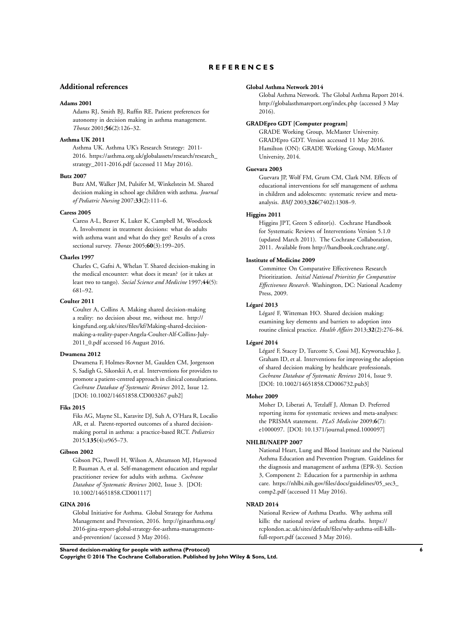# <span id="page-8-0"></span>**Additional references**

#### **Adams 2001**

Adams RJ, Smith BJ, Ruffin RE. Patient preferences for autonomy in decision making in asthma management. *Thorax* 2001;**56**(2):126–32.

# **Asthma UK 2011**

Asthma UK. Asthma UK's Research Strategy: 2011- 2016. https://asthma.org.uk/globalassets/research/research\_ strategy\_2011-2016.pdf (accessed 11 May 2016).

#### **Butz 2007**

Butz AM, Walker JM, Pulsifer M, Winkelstein M. Shared decision making in school age children with asthma. *Journal of Pediatric Nursing* 2007;**33**(2):111–6.

#### **Caress 2005**

Caress A-L, Beaver K, Luker K, Campbell M, Woodcock A. Involvement in treatment decisions: what do adults with asthma want and what do they get? Results of a cross sectional survey. *Thorax* 2005;**60**(3):199–205.

#### **Charles 1997**

Charles C, Gafni A, Whelan T. Shared decision-making in the medical encounter: what does it mean? (or it takes at least two to tango). *Social Science and Medicine* 1997;**44**(5): 681–92.

#### **Coulter 2011**

Coulter A, Collins A. Making shared decision-making a reality: no decision about me, without me. http:// kingsfund.org.uk/sites/files/kf/Making-shared-decisionmaking-a-reality-paper-Angela-Coulter-Alf-Collins-July-2011\_0.pdf accessed 16 August 2016.

#### **Dwamena 2012**

Dwamena F, Holmes-Rovner M, Gaulden CM, Jorgenson S, Sadigh G, Sikorskii A, et al. Interventions for providers to promote a patient-centred approach in clinical consultations. *Cochrane Database of Systematic Reviews* 2012, Issue 12. [DOI: 10.1002/14651858.CD003267.pub2]

#### **Fiks 2015**

Fiks AG, Mayne SL, Karavite DJ, Suh A, O'Hara R, Localio AR, et al. Parent-reported outcomes of a shared decisionmaking portal in asthma: a practice-based RCT. *Pediatrics* 2015;**135**(4):e965–73.

#### **Gibson 2002**

Gibson PG, Powell H, Wilson A, Abramson MJ, Haywood P, Bauman A, et al. Self-management education and regular practitioner review for adults with asthma. *Cochrane Database of Systematic Reviews* 2002, Issue 3. [DOI: 10.1002/14651858.CD001117]

#### **GINA 2016**

Global Initiative for Asthma. Global Strategy for Asthma Management and Prevention, 2016. http://ginasthma.org/ 2016-gina-report-global-strategy-for-asthma-managementand-prevention/ (accessed 3 May 2016).

#### **Global Asthma Network 2014**

Global Asthma Network. The Global Asthma Report 2014. http://globalasthmareport.org/index.php (accessed 3 May 2016).

#### **GRADEpro GDT [Computer program]**

GRADE Working Group, McMaster University. GRADEpro GDT. Version accessed 11 May 2016. Hamilton (ON): GRADE Working Group, McMaster University, 2014.

#### **Guevara 2003**

Guevara JP, Wolf FM, Grum CM, Clark NM. Effects of educational interventions for self management of asthma in children and adolescents: systematic review and metaanalysis. *BMJ* 2003;**326**(7402):1308–9.

#### **Higgins 2011**

Higgins JPT, Green S editor(s). Cochrane Handbook for Systematic Reviews of Interventions Version 5.1.0 (updated March 2011). The Cochrane Collaboration, 2011. Available from http://handbook.cochrane.org/.

#### **Institute of Medicine 2009**

Committee On Comparative Effectiveness Research Prioritization. *Initial National Priorities for Comparative Effectiveness Research*. Washington, DC: National Academy Press, 2009.

#### **Légaré 2013**

Légaré F, Witteman HO. Shared decision making: examining key elements and barriers to adoption into routine clinical practice. *Health Affairs* 2013;**32**(2):276–84.

#### **Légaré 2014**

Légaré F, Stacey D, Turcotte S, Cossi MJ, Kryworuchko J, Graham ID, et al. Interventions for improving the adoption of shared decision making by healthcare professionals. *Cochrane Database of Systematic Reviews* 2014, Issue 9. [DOI: 10.1002/14651858.CD006732.pub3]

#### **Moher 2009**

Moher D, Liberati A, Tetzlaff J, Altman D. Preferred reporting items for systematic reviews and meta-analyses: the PRISMA statement. *PLoS Medicine* 2009;**6**(7): e1000097. [DOI: 10.1371/journal.pmed.1000097]

#### **NHLBI/NAEPP 2007**

National Heart, Lung and Blood Institute and the National Asthma Education and Prevention Program. Guidelines for the diagnosis and management of asthma (EPR-3). Section 3, Component 2: Education for a partnership in asthma care. https://nhlbi.nih.gov/files/docs/guidelines/05\_sec3\_ comp2.pdf (accessed 11 May 2016).

#### **NRAD 2014**

National Review of Asthma Deaths. Why asthma still kills: the national review of asthma deaths. https:// rcplondon.ac.uk/sites/default/files/why-asthma-still-killsfull-report.pdf (accessed 3 May 2016).

**Shared decision-making for people with asthma (Protocol) 6 Copyright © 2016 The Cochrane Collaboration. Published by John Wiley & Sons, Ltd.**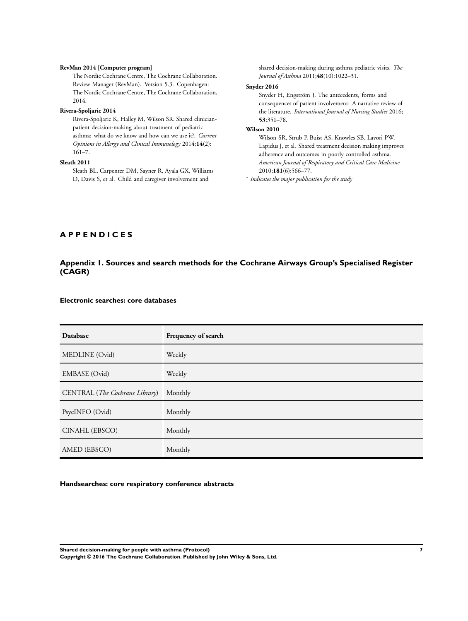#### <span id="page-9-0"></span>**RevMan 2014 [Computer program]**

The Nordic Cochrane Centre, The Cochrane Collaboration. Review Manager (RevMan). Version 5.3. Copenhagen: The Nordic Cochrane Centre, The Cochrane Collaboration, 2014.

# **Rivera-Spoljaric 2014**

Rivera-Spoljaric K, Halley M, Wilson SR. Shared clinicianpatient decision-making about treatment of pediatric asthma: what do we know and how can we use it?. *Current Opinions in Allergy and Clinical Immunology* 2014;**14**(2): 161–7.

# **Sleath 2011**

Sleath BL, Carpenter DM, Sayner R, Ayala GX, Williams D, Davis S, et al. Child and caregiver involvement and

shared decision-making during asthma pediatric visits. *The Journal of Asthma* 2011;**48**(10):1022–31.

#### **Snyder 2016**

Snyder H, Engström J. The antecedents, forms and consequences of patient involvement: A narrative review of the literature. *International Journal of Nursing Studies* 2016; **53**:351–78.

# **Wilson 2010**

Wilson SR, Strub P, Buist AS, Knowles SB, Lavori PW, Lapidus J, et al. Shared treatment decision making improves adherence and outcomes in poorly controlled asthma. *American Journal of Respiratory and Critical Care Medicine* 2010;**181**(6):566–77.

∗ *Indicates the major publication for the study*

# **A P P E N D I C E S**

# **Appendix 1. Sources and search methods for the Cochrane Airways Group's Specialised Register (CAGR)**

### **Electronic searches: core databases**

| Database                       | Frequency of search |
|--------------------------------|---------------------|
| MEDLINE (Ovid)                 | Weekly              |
| EMBASE (Ovid)                  | Weekly              |
| CENTRAL (The Cochrane Library) | Monthly             |
| PsycINFO (Ovid)                | Monthly             |
| CINAHL (EBSCO)                 | Monthly             |
| AMED (EBSCO)                   | Monthly             |

#### **Handsearches: core respiratory conference abstracts**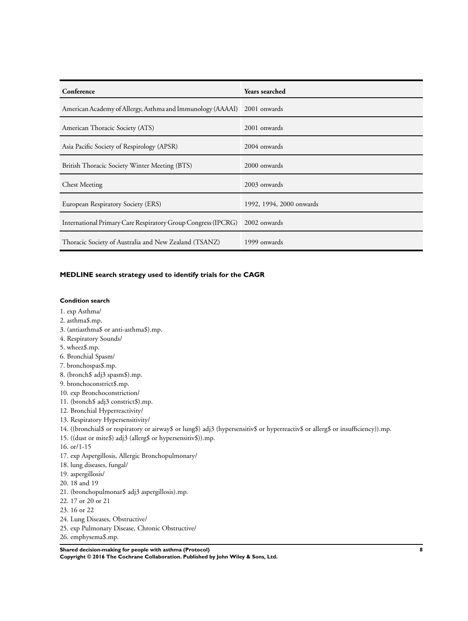| Conference                                                              | Years searched           |
|-------------------------------------------------------------------------|--------------------------|
| American Academy of Allergy, Asthma and Immunology (AAAAI) 2001 onwards |                          |
| American Thoracic Society (ATS)                                         | 2001 onwards             |
| Asia Pacific Society of Respirology (APSR)                              | 2004 onwards             |
| British Thoracic Society Winter Meeting (BTS)                           | 2000 onwards             |
| <b>Chest Meeting</b>                                                    | 2003 onwards             |
| European Respiratory Society (ERS)                                      | 1992, 1994, 2000 onwards |
| International Primary Care Respiratory Group Congress (IPCRG)           | 2002 onwards             |
| Thoracic Society of Australia and New Zealand (TSANZ)                   | 1999 onwards             |

# **MEDLINE search strategy used to identify trials for the CAGR**

#### **Condition search**

- 1. exp Asthma/
- 2. asthma\$.mp.
- 3. (antiasthma\$ or anti-asthma\$).mp.
- 4. Respiratory Sounds/
- 5. wheez\$.mp.
- 6. Bronchial Spasm/
- 7. bronchospas\$.mp.
- 8. (bronch\$ adj3 spasm\$).mp.
- 9. bronchoconstrict\$.mp.
- 10. exp Bronchoconstriction/
- 11. (bronch\$ adj3 constrict\$).mp.
- 12. Bronchial Hyperreactivity/
- 13. Respiratory Hypersensitivity/
- 14. ((bronchial\$ or respiratory or airway\$ or lung\$) adj3 (hypersensitiv\$ or hyperreactiv\$ or allerg\$ or insufficiency)).mp.
- 15. ((dust or mite\$) adj3 (allerg\$ or hypersensitiv\$)).mp.
- 16. or/1-15
- 17. exp Aspergillosis, Allergic Bronchopulmonary/
- 18. lung diseases, fungal/
- 19. aspergillosis/
- 20. 18 and 19
- 21. (bronchopulmonar\$ adj3 aspergillosis).mp.
- 22. 17 or 20 or 21
- 23. 16 or 22
- 24. Lung Diseases, Obstructive/
- 25. exp Pulmonary Disease, Chronic Obstructive/
- 26. emphysema\$.mp.

**Shared decision-making for people with asthma (Protocol) 8**

**Copyright © 2016 The Cochrane Collaboration. Published by John Wiley & Sons, Ltd.**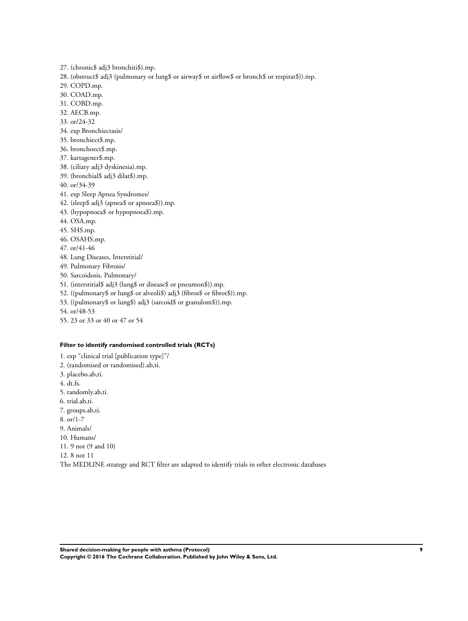27. (chronic\$ adj3 bronchiti\$).mp.

28. (obstruct\$ adj3 (pulmonary or lung\$ or airway\$ or airflow\$ or bronch\$ or respirat\$)).mp.

29. COPD.mp.

30. COAD.mp.

- 31. COBD.mp.
- 32. AECB.mp.
- 33. or/24-32
- 34. exp Bronchiectasis/
- 35. bronchiect\$.mp.
- 36. bronchoect\$.mp.
- 37. kartagener\$.mp.
- 38. (ciliary adj3 dyskinesia).mp.
- 39. (bronchial\$ adj3 dilat\$).mp.
- 40. or/34-39
- 41. exp Sleep Apnea Syndromes/
- 42. (sleep\$ adj3 (apnea\$ or apnoea\$)).mp.
- 43. (hypopnoea\$ or hypopnoea\$).mp.
- 44. OSA.mp.
- 45. SHS.mp.
- 46. OSAHS.mp.
- 47. or/41-46
- 48. Lung Diseases, Interstitial/
- 49. Pulmonary Fibrosis/
- 50. Sarcoidosis, Pulmonary/
- 51. (interstitial\$ adj3 (lung\$ or disease\$ or pneumon\$)).mp.
- 52. ((pulmonary\$ or lung\$ or alveoli\$) adj3 (fibros\$ or fibrot\$)).mp.
- 53. ((pulmonary\$ or lung\$) adj3 (sarcoid\$ or granulom\$)).mp.
- 54. or/48-53
- 55. 23 or 33 or 40 or 47 or 54

#### **Filter to identify randomised controlled trials (RCTs)**

- 1. exp "clinical trial [publication type]"/
- 2. (randomised or randomised).ab,ti.
- 3. placebo.ab,ti.
- 4. dt.fs.
- 5. randomly.ab,ti.
- 6. trial.ab,ti.
- 7. groups.ab,ti.
- 8. or/1-7
- 9. Animals/
- 10. Humans/
- 11. 9 not (9 and 10)
- 12. 8 not 11

The MEDLINE strategy and RCT filter are adapted to identify trials in other electronic databases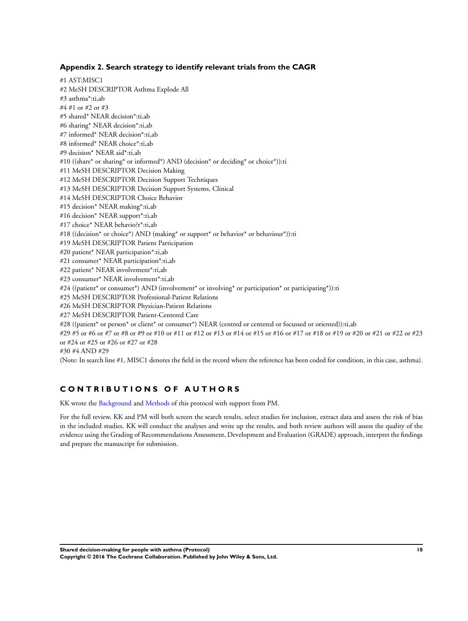# <span id="page-12-0"></span>**Appendix 2. Search strategy to identify relevant trials from the CAGR**

#1 AST:MISC1 #2 MeSH DESCRIPTOR Asthma Explode All #3 asthma\*:ti,ab #4 #1 or #2 or #3 #5 shared\* NEAR decision\*:ti,ab #6 sharing\* NEAR decision\*:ti,ab #7 informed\* NEAR decision\*:ti,ab #8 informed\* NEAR choice\*:ti,ab #9 decision\* NEAR aid\*:ti,ab #10 ((share\* or sharing\* or informed\*) AND (decision\* or deciding\* or choice\*)):ti #11 MeSH DESCRIPTOR Decision Making #12 MeSH DESCRIPTOR Decision Support Techniques #13 MeSH DESCRIPTOR Decision Support Systems, Clinical #14 MeSH DESCRIPTOR Choice Behavior #15 decision\* NEAR making\*:ti,ab #16 decision\* NEAR support\*:ti,ab #17 choice\* NEAR behavio?r\*:ti,ab #18 ((decision\* or choice\*) AND (making\* or support\* or behavior\* or behaviour\*)):ti #19 MeSH DESCRIPTOR Patient Participation #20 patient\* NEAR participation\*:ti,ab #21 consumer\* NEAR participation\*:ti,ab #22 patient\* NEAR involvement\*:ti,ab #23 consumer\* NEAR involvement\*:ti,ab #24 ((patient\* or consumer\*) AND (involvement\* or involving\* or participation\* or participating\*)):ti #25 MeSH DESCRIPTOR Professional-Patient Relations #26 MeSH DESCRIPTOR Physician-Patient Relations #27 MeSH DESCRIPTOR Patient-Centered Care #28 ((patient\* or person\* or client\* or consumer\*) NEAR (centred or centered or focussed or oriented)):ti,ab #29 #5 or #6 or #7 or #8 or #9 or #10 or #11 or #12 or #13 or #14 or #15 or #16 or #17 or #18 or #19 or #20 or #21 or #22 or #23 or #24 or #25 or #26 or #27 or #28 #30 #4 AND #29

(Note: In search line #1, MISC1 denotes the field in the record where the reference has been coded for condition, in this case, asthma).

# **C O N T R I B U T I O N S O F A U T H O R S**

KK wrote the [Background](#page-3-0) and [Methods](#page-3-0) of this protocol with support from PM.

For the full review, KK and PM will both screen the search results, select studies for inclusion, extract data and assess the risk of bias in the included studies. KK will conduct the analyses and write up the results, and both review authors will assess the quality of the evidence using the Grading of Recommendations Assessment, Development and Evaluation (GRADE) approach, interpret the findings and prepare the manuscript for submission.